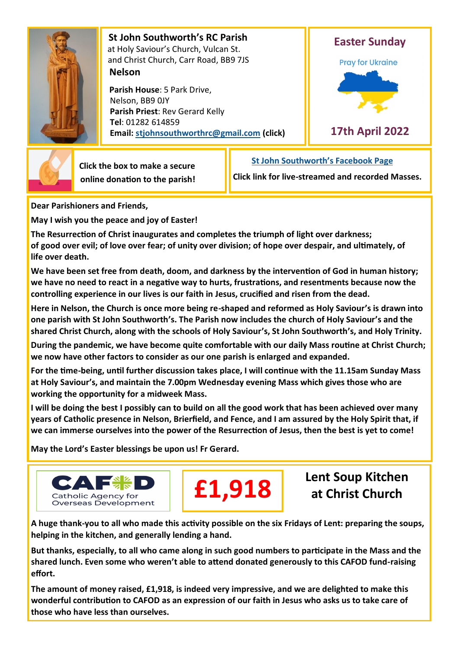

 **St John Southworth's RC Parish** at Holy Saviour's Church, Vulcan St. and Christ Church, Carr Road, BB9 7JS **Nelson**

 **Parish House**: 5 Park Drive, Nelson, BB9 0JY **Parish Priest**: Rev Gerard Kelly **Tel**: 01282 614859 **Email: [stjohnsouthworthrc@gmail.com](mailto:stjohnsouthworth@gmail.com) (click)**





 **Click the box to make a secure online donation to the parish!** **[St John Southworth](https://www.facebook.com/Parish-of-St-John-Southworth-in-Nelson-105718084323986)'s Facebook Page**

**Click link for live-streamed and recorded Masses.**

**Dear Parishioners and Friends,**

**May I wish you the peace and joy of Easter!**

**The Resurrection of Christ inaugurates and completes the triumph of light over darkness; of good over evil; of love over fear; of unity over division; of hope over despair, and ultimately, of life over death.**

**We have been set free from death, doom, and darkness by the intervention of God in human history; we have no need to react in a negative way to hurts, frustrations, and resentments because now the controlling experience in our lives is our faith in Jesus, crucified and risen from the dead.**

**Here in Nelson, the Church is once more being re-shaped and reformed as Holy Saviour's is drawn into one parish with St John Southworth's. The Parish now includes the church of Holy Saviour's and the shared Christ Church, along with the schools of Holy Saviour's, St John Southworth's, and Holy Trinity.**

**During the pandemic, we have become quite comfortable with our daily Mass routine at Christ Church; we now have other factors to consider as our one parish is enlarged and expanded.**

**For the time-being, until further discussion takes place, I will continue with the 11.15am Sunday Mass at Holy Saviour's, and maintain the 7.00pm Wednesday evening Mass which gives those who are working the opportunity for a midweek Mass.**

**I will be doing the best I possibly can to build on all the good work that has been achieved over many years of Catholic presence in Nelson, Brierfield, and Fence, and I am assured by the Holy Spirit that, if we can immerse ourselves into the power of the Resurrection of Jesus, then the best is yet to come!**

**May the Lord's Easter blessings be upon us! Fr Gerard.**





**Lent Soup Kitchen at Christ Church**

**A huge thank-you to all who made this activity possible on the six Fridays of Lent: preparing the soups, helping in the kitchen, and generally lending a hand.** 

**But thanks, especially, to all who came along in such good numbers to participate in the Mass and the shared lunch. Even some who weren't able to attend donated generously to this CAFOD fund-raising effort.** 

**The amount of money raised, £1,918, is indeed very impressive, and we are delighted to make this wonderful contribution to CAFOD as an expression of our faith in Jesus who asks us to take care of those who have less than ourselves.**